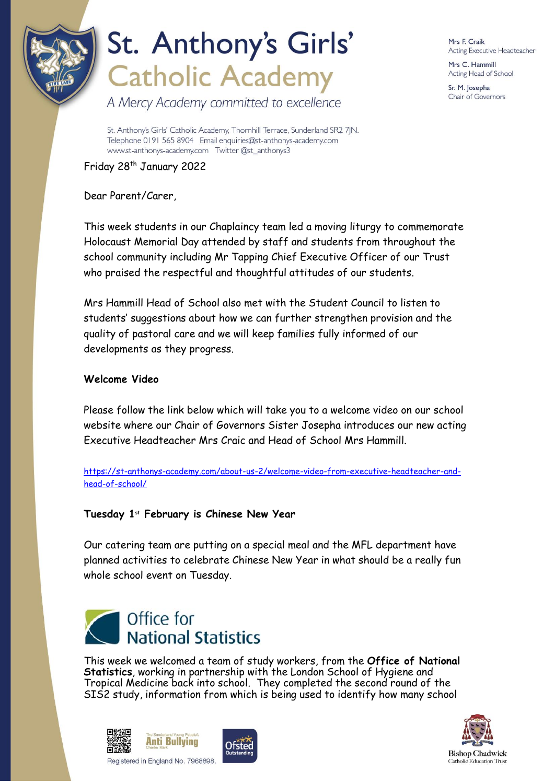

# St. Anthony's Girls' **Catholic Academy**

A Mercy Academy committed to excellence

Mrs F. Craik Acting Executive Headteacher

Mrs C. Hammill Acting Head of School

Sr. M. Josepha Chair of Governors

St. Anthony's Girls' Catholic Academy, Thornhill Terrace, Sunderland SR2 7JN. Telephone 0191 565 8904 Email enquiries@st-anthonys-academy.com www.st-anthonys-academy.com Twitter @st anthonys3

Friday 28<sup>th</sup> January 2022

Dear Parent/Carer,

This week students in our Chaplaincy team led a moving liturgy to commemorate Holocaust Memorial Day attended by staff and students from throughout the school community including Mr Tapping Chief Executive Officer of our Trust who praised the respectful and thoughtful attitudes of our students.

Mrs Hammill Head of School also met with the Student Council to listen to students' suggestions about how we can further strengthen provision and the quality of pastoral care and we will keep families fully informed of our developments as they progress.

### **Welcome Video**

Please follow the link below which will take you to a welcome video on our school website where our Chair of Governors Sister Josepha introduces our new acting Executive Headteacher Mrs Craic and Head of School Mrs Hammill.

[https://st-anthonys-academy.com/about-us-2/welcome-video-from-executive-headteacher-and](https://st-anthonys-academy.com/about-us-2/welcome-video-from-executive-headteacher-and-head-of-school/)[head-of-school/](https://st-anthonys-academy.com/about-us-2/welcome-video-from-executive-headteacher-and-head-of-school/)

## **Tuesday 1st February is Chinese New Year**

Our catering team are putting on a special meal and the MFL department have planned activities to celebrate Chinese New Year in what should be a really fun whole school event on Tuesday.



This week we welcomed a team of study workers, from the **Office of National Statistics**, working in partnership with the London School of Hygiene and Tropical Medicine back into school. They completed the second round of the SIS2 study, information from which is being used to identify how many school